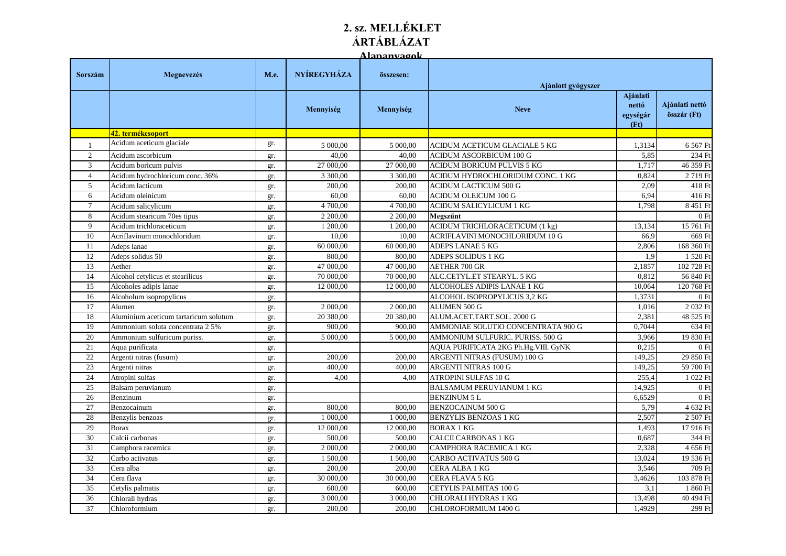## **2. sz. MELLÉKLET ÁRTÁBLÁZAT Alapanyagok**

|                 |                                       |      |                    | <u>tananvaonk</u> |                                       |                                       |                               |
|-----------------|---------------------------------------|------|--------------------|-------------------|---------------------------------------|---------------------------------------|-------------------------------|
| Sorszám         | Megnevezés                            | M.e. | <b>NYÍREGYHÁZA</b> | összesen:         | Ajánlott gyógyszer                    |                                       |                               |
|                 |                                       |      | Mennyiség          | Mennyiség         | <b>Neve</b>                           | Ajánlati<br>nettó<br>egységár<br>(Ft) | Ajánlati nettó<br>összár (Ft) |
|                 | 42. termékcsoport                     |      |                    |                   |                                       |                                       |                               |
| $\overline{1}$  | Acidum aceticum glaciale              | gr.  | 5 000,00           | 5 000,00          | ACIDUM ACETICUM GLACIALE 5 KG         | 1,3134                                | 6 567 Ft                      |
| 2               | Acidum ascorbicum                     | gr.  | 40,00              | 40,00             | ACIDUM ASCORBICUM 100 G               | 5,85                                  | 234 Ft                        |
| 3               | Acidum boricum pulvis                 | gr.  | 27 000,00          | 27 000,00         | ACIDUM BORICUM PULVIS 5 KG            | 1,717                                 | 46 359 Ft                     |
| $\overline{4}$  | Acidum hydrochloricum conc. 36%       | gr.  | 3 300,00           | 3 300,00          | ACIDUM HYDROCHLORIDUM CONC. 1 KG      | 0,824                                 | 2719 Ft                       |
| $\mathfrak{S}$  | Acidum lacticum                       | gr.  | 200,00             | 200,00            | ACIDUM LACTICUM 500 G                 | 2,09                                  | 418 Ft                        |
| 6               | Acidum oleinicum                      | gr.  | 60,00              | 60,00             | <b>ACIDUM OLEICUM 100 G</b>           | 6,94                                  | 416 Ft                        |
| $\overline{7}$  | Acidum salicylicum                    | gr.  | 4 700,00           | 4 700.00          | ACIDUM SALICYLICUM 1 KG               | 1.798                                 | 8 451 Ft                      |
| 8               | Acidum stearicum 70es tipus           | gr.  | 2 200,00           | 2 200,00          | Megszűnt                              |                                       | 0Ft                           |
| 9               | Acidum trichloraceticum               | gr.  | 1 200,00           | 1 200,00          | <b>ACIDUM TRICHLORACETICUM (1 kg)</b> | 13,134                                | 15 761 Ft                     |
| 10              | Acriflavinum monochloridum            | gr.  | 10,00              | 10.00             | ACRIFLAVINI MONOCHLORIDUM 10 G        | 66.9                                  | 669 Ft                        |
| 11              | Adeps lanae                           | gr.  | 60 000,00          | 60 000,00         | ADEPS LANAE 5 KG                      | 2,806                                 | 168 360 Ft                    |
| 12              | Adeps solidus 50                      | gr.  | 800.00             | 800,00            | ADEPS SOLIDUS 1 KG                    | 1.9                                   | 1 520 Ft                      |
| 13              | Aether                                | gr.  | 47 000,00          | 47 000,00         | <b>AETHER 700 GR</b>                  | 2,1857                                | 102 728 Ft                    |
| 14              | Alcohol cetylicus et stearilicus      | gr.  | 70 000,00          | 70 000,00         | ALC.CETYL.ET STEARYL. 5 KG            | 0.812                                 | 56 840 Ft                     |
| 15              | Alcoholes adipis lanae                | gr.  | 12 000,00          | 12 000,00         | ALCOHOLES ADIPIS LANAE 1 KG           | 10.064                                | 120 768 Ft                    |
| 16              | Alcoholum isopropylicus               | gr.  |                    |                   | ALCOHOL ISOPROPYLICUS 3,2 KG          | 1,3731                                | 0Ft                           |
| 17              | Alumen                                | gr.  | 2 000,00           | 2 000,00          | <b>ALUMEN 500 G</b>                   | 1,016                                 | 2 032 Ft                      |
| 18              | Aluminium aceticum tartaricum solutum | gr.  | 20 380,00          | 20 380,00         | ALUM.ACET.TART.SOL. 2000 G            | 2,381                                 | 48 525 Ft                     |
| 19              | Ammonium soluta concentrata 2 5%      | gr.  | 900,00             | 900,00            | AMMONIAE SOLUTIO CONCENTRATA 900 G    | 0,7044                                | 634 Ft                        |
| 20              | Ammonium sulfuricum puriss.           | gr.  | 5 000,00           | 5 000,00          | AMMONIUM SULFURIC. PURISS. 500 G      | 3,966                                 | 19 830 Ft                     |
| 21              | Aqua purificata                       | gr.  |                    |                   | AQUA PURIFICATA 2KG Ph.Hg.VIII. GyNK  | 0.215                                 | 0Ft                           |
| 22              | Argenti nitras (fusum)                | gr.  | 200,00             | 200,00            | ARGENTI NITRAS (FUSUM) 100 G          | 149,25                                | 29 850 Ft                     |
| 23              | Argenti nitras                        | gr.  | 400,00             | 400,00            | ARGENTI NITRAS 100 G                  | 149,25                                | 59 700 Ft                     |
| 24              | Atropini sulfas                       | gr.  | 4,00               | 4,00              | <b>ATROPINI SULFAS 10 G</b>           | 255,4                                 | 1 022 Ft                      |
| 25              | Balsam peruvianum                     | gr.  |                    |                   | <b>BALSAMUM PERUVIANUM 1 KG</b>       | 14,925                                | 0Ft                           |
| 26              | Benzinum                              | gr.  |                    |                   | <b>BENZINUM 5 L</b>                   | 6,6529                                | 0Ft                           |
| 27              | Benzocainum                           | gr.  | 800,00             | 800,00            | <b>BENZOCAINUM 500 G</b>              | 5,79                                  | 4 632 Ft                      |
| 28              | Benzylis benzoas                      | gr.  | 1 000,00           | 1 000,00          | <b>BENZYLIS BENZOAS 1 KG</b>          | 2,507                                 | 2 507 Ft                      |
| 29              | <b>Borax</b>                          | gr.  | 12 000,00          | 12 000,00         | <b>BORAX 1 KG</b>                     | 1,493                                 | $\overline{17}$ 916 Ft        |
| $\overline{30}$ | Calcii carbonas                       | gr.  | 500,00             | 500,00            | <b>CALCII CARBONAS 1 KG</b>           | 0,687                                 | 344 Ft                        |
| 31              | Camphora racemica                     | gr.  | 2 000,00           | 2 000,00          | CAMPHORA RACEMICA 1 KG                | 2,328                                 | 4 656 Ft                      |
| 32              | Carbo activatus                       | gr.  | 1 500,00           | 1 500,00          | CARBO ACTIVATUS 500 G                 | 13,024                                | 19 536 Ft                     |
| 33              | Cera alba                             | gr.  | 200,00             | 200,00            | CERA ALBA 1 KG                        | 3,546                                 | 709 Ft                        |
| 34              | Cera flava                            | gr.  | 30 000,00          | 30 000,00         | CERA FLAVA 5 KG                       | 3,4626                                | 103 878 Ft                    |
| $\overline{35}$ | Cetylis palmatis                      | gr.  | 600,00             | 600,00            | CETYLIS PALMITAS 100 G                | 3,1                                   | 1 860 Ft                      |
| 36              | Chlorali hydras                       | gr.  | 3 000,00           | 3 000,00          | CHLORALI HYDRAS 1 KG                  | 13,498                                | 40 494 Ft                     |
| 37              | Chloroformium                         | gr.  | 200,00             | 200,00            | CHLOROFORMIUM 1400 G                  | 1.4929                                | 299 Ft                        |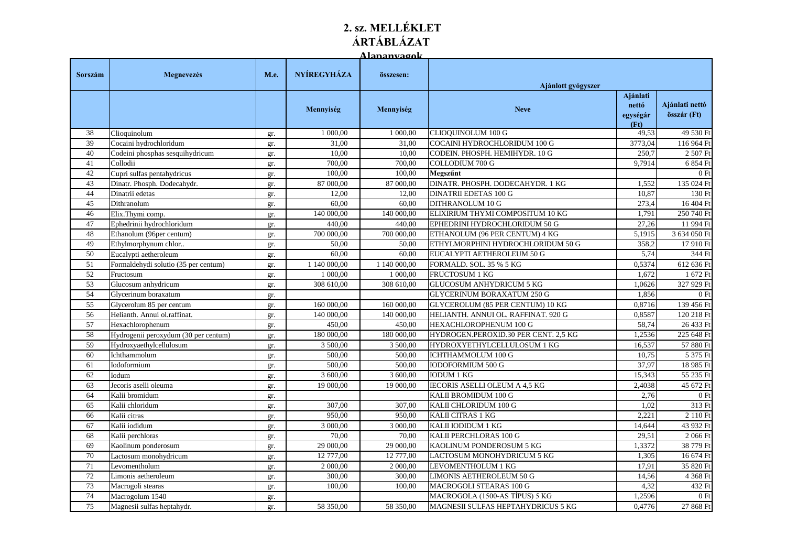## **2. sz. MELLÉKLET ÁRTÁBLÁZAT**

**Alapanyagok**

| Sorszám         | Megnevezés                           | M.e. | NYÍREGYHÁZA  | összesen:    | Ajánlott gyógyszer                   |                                       |                               |
|-----------------|--------------------------------------|------|--------------|--------------|--------------------------------------|---------------------------------------|-------------------------------|
|                 |                                      |      | Mennyiség    | Mennyiség    | <b>Neve</b>                          | Ajánlati<br>nettó<br>egységár<br>(Ft) | Ajánlati nettó<br>összár (Ft) |
| 38              | Clioquinolum                         | gr.  | 1 000,00     | 1 000,00     | CLIOQUINOLUM 100 G                   | 49,53                                 | 49 530 Ft                     |
| 39              | Cocaini hydrochloridum               | gr.  | 31.00        | 31.00        | COCAINI HYDROCHLORIDUM 100 G         | 3773,04                               | 116 964 Ft                    |
| 40              | Codeini phosphas sesquihydricum      | gr.  | 10,00        | 10,00        | CODEIN. PHOSPH. HEMIHYDR. 10 G       | 250.7                                 | 2 507 Ft                      |
| 41              | Collodii                             | gr.  | 700,00       | 700,00       | COLLODIUM 700 G                      | 9,7914                                | 6 854 Ft                      |
| 42              | Cupri sulfas pentahydricus           | gr.  | 100,00       | 100,00       | Megszűnt                             |                                       | 0Ft                           |
| 43              | Dinatr. Phosph. Dodecahydr.          | gr.  | 87 000,00    | 87 000,00    | DINATR. PHOSPH. DODECAHYDR. 1 KG     | 1,552                                 | 135 024 Ft                    |
| 44              | Dinatrii edetas                      | gr.  | 12,00        | 12,00        | <b>DINATRII EDETAS 100 G</b>         | 10,87                                 | 130 Ft                        |
| 45              | Dithranolum                          | gr.  | 60.00        | 60,00        | DITHRANOLUM 10 G                     | 273.4                                 | 16 404 Ft                     |
| 46              | Elix.Thymi comp.                     | gr.  | 140 000,00   | 140 000,00   | ELIXIRIUM THYMI COMPOSITUM 10 KG     | 1,791                                 | 250 740 Ft                    |
| 47              | Ephedrinii hydrochloridum            | gr.  | 440,00       | 440,00       | EPHEDRINI HYDROCHLORIDUM 50 G        | 27,26                                 | 11 994 Ft                     |
| 48              | Ethanolum (96per centum)             | gr.  | 700 000,00   | 700 000,00   | ETHANOLUM (96 PER CENTUM) 4 KG       | 5,1915                                | 3 634 050 Ft                  |
| 49              | Ethylmorphynum chlor                 | gr.  | 50,00        | 50,00        | ETHYLMORPHINI HYDROCHLORIDUM 50 G    | 358,2                                 | 17 910 Ft                     |
| 50              | Eucalypti aetheroleum                | gr.  | 60,00        | 60,00        | EUCALYPTI AETHEROLEUM 50 G           | 5,74                                  | 344 Ft                        |
| 51              | Formaldehydi solutio (35 per centum) | gr.  | 1 140 000,00 | 1 140 000,00 | FORMALD. SOL. 35 % 5 KG              | 0,5374                                | 612 636 Ft                    |
| 52              | Fructosum                            | gr.  | 1 000,00     | 1 000,00     | FRUCTOSUM 1 KG                       | 1,672                                 | 1 672 Ft                      |
| $\overline{53}$ | Glucosum anhydricum                  | gr.  | 308 610,00   | 308 610,00   | <b>GLUCOSUM ANHYDRICUM 5 KG</b>      | 1,0626                                | 327 929 Ft                    |
| 54              | Glycerinum boraxatum                 | gr.  |              |              | <b>GLYCERINUM BORAXATUM 250 G</b>    | 1,856                                 | 0Ft                           |
| 55              | Glycerolum 85 per centum             | gr.  | 160 000,00   | 160 000,00   | GLYCEROLUM (85 PER CENTUM) 10 KG     | 0,8716                                | 139 456 Ft                    |
| 56              | Helianth. Annui ol.raffinat.         | gr.  | 140 000,00   | 140 000,00   | HELIANTH. ANNUI OL. RAFFINAT. 920 G  | 0,8587                                | 120 218 Ft                    |
| 57              | Hexachlorophenum                     | gr.  | 450,00       | 450,00       | HEXACHLOROPHENUM 100 G               | 58,74                                 | 26 433 Ft                     |
| 58              | Hydrogenii peroxydum (30 per centum) | gr.  | 180 000,00   | 180 000,00   | HYDROGEN.PEROXID.30 PER CENT. 2,5 KG | 1,2536                                | 225 648 Ft                    |
| 59              | Hydroxyaethylcellulosum              | gr.  | 3 500,00     | 3 500,00     | HYDROXYETHYLCELLULOSUM 1 KG          | 16,537                                | 57 880 Ft                     |
| 60              | Ichthammolum                         | gr.  | 500,00       | 500,00       | ICHTHAMMOLUM 100 G                   | 10,75                                 | 5 375 Ft                      |
| 61              | Iodoformium                          | gr.  | 500,00       | 500,00       | <b>IODOFORMIUM 500 G</b>             | 37,97                                 | 18 985 Ft                     |
| 62              | Iodum                                | gr.  | 3 600,00     | 3 600,00     | <b>IODUM 1 KG</b>                    | 15,343                                | 55 235 Ft                     |
| 63              | Jecoris aselli oleuma                | gr.  | 19 000,00    | 19 000,00    | <b>IECORIS ASELLI OLEUM A 4.5 KG</b> | 2,4038                                | 45 672 Ft                     |
| 64              | Kalii bromidum                       | gr.  |              |              | KALII BROMIDUM 100 G                 | 2,76                                  | 0Ft                           |
| 65              | Kalii chloridum                      | gr.  | 307,00       | 307,00       | KALII CHLORIDUM 100 G                | 1,02                                  | 313 Ft                        |
| 66              | Kalii citras                         | gr.  | 950,00       | 950,00       | KALII CITRAS 1 KG                    | 2,221                                 | 2 110 Ft                      |
| 67              | Kalii iodidum                        | gr.  | 3 000,00     | 3 000,00     | KALII IODIDUM 1 KG                   | 14,644                                | 43 932 Ft                     |
| 68              | Kalii perchloras                     | gr.  | 70,00        | 70,00        | KALII PERCHLORAS 100 G               | 29,51                                 | 2 066 Ft                      |
| 69              | Kaolinum ponderosum                  | gr.  | 29 000,00    | 29 000,00    | KAOLINUM PONDEROSUM 5 KG             | 1,3372                                | 38 779 Ft                     |
| 70              | Lactosum monohydricum                | gr.  | 12 777,00    | 12 777,00    | LACTOSUM MONOHYDRICUM 5 KG           | 1,305                                 | 16 674 Ft                     |
| 71              | Levomentholum                        | gr.  | 2 000,00     | 2 000,00     | LEVOMENTHOLUM 1 KG                   | 17,91                                 | 35 820 Ft                     |
| $\overline{72}$ | Limonis aetheroleum                  | gr.  | 300,00       | 300,00       | LIMONIS AETHEROLEUM 50 G             | 14,56                                 | 4 368 Ft                      |
| 73              | Macrogoli stearas                    | gr.  | 100,00       | 100,00       | MACROGOLI STEARAS 100 G              | 4,32                                  | 432 Ft                        |
| 74              | Macrogolum 1540                      | gr.  |              |              | MACROGOLA (1500-AS TÍPUS) 5 KG       | 1,2596                                | 0Ft                           |
| 75              | Magnesii sulfas heptahydr.           | gr.  | 58 350,00    | 58 350,00    | MAGNESII SULFAS HEPTAHYDRICUS 5 KG   | 0.4776                                | 27 868 Ft                     |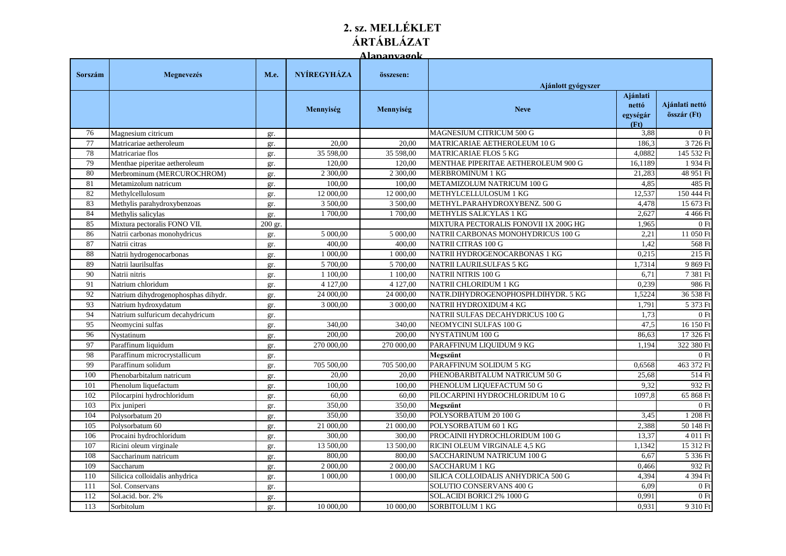## **2. sz. MELLÉKLET ÁRTÁBLÁZAT Alapanyagok**

|         |                                     |         |                    | <u>A lamamvaonk</u> |                                       |                                       |                               |
|---------|-------------------------------------|---------|--------------------|---------------------|---------------------------------------|---------------------------------------|-------------------------------|
| Sorszám | Megnevezés                          | M.e.    | <b>NYÍREGYHÁZA</b> | összesen:           | Ajánlott gyógyszer                    |                                       |                               |
|         |                                     |         | Mennyiség          | Mennyiség           | <b>Neve</b>                           | Ajánlati<br>nettó<br>egységár<br>(Ft) | Ajánlati nettó<br>összár (Ft) |
| 76      | Magnesium citricum                  | gr.     |                    |                     | MAGNESIUM CITRICUM 500 G              | 3,88                                  | 0F <sub>0</sub>               |
| 77      | Matricariae aetheroleum             | gr.     | 20.00              | 20.00               | MATRICARIAE AETHEROLEUM 10 G          | 186,3                                 | 3 726 Ft                      |
| 78      | Matricariae flos                    | gr.     | 35 598,00          | 35 598,00           | <b>MATRICARIAE FLOS 5 KG</b>          | 4.0882                                | 145 532 Ft                    |
| 79      | Menthae piperitae aetheroleum       | gr.     | 120.00             | 120.00              | MENTHAE PIPERITAE AETHEROLEUM 900 G   | 16,1189                               | 1 934 Ft                      |
| 80      | Merbrominum (MERCUROCHROM)          | gr.     | 2 300,00           | 2 300,00            | <b>MERBROMINUM 1 KG</b>               | 21,283                                | 48 951 Ft                     |
| 81      | Metamizolum natricum                | gr.     | 100,00             | 100,00              | METAMIZOLUM NATRICUM 100 G            | 4,85                                  | 485 Ft                        |
| 82      | Methylcellulosum                    | gr.     | 12 000,00          | 12 000,00           | METHYLCELLULOSUM 1 KG                 | 12,537                                | 150 444 Ft                    |
| 83      | Methylis parahydroxybenzoas         | gr.     | 3 500,00           | 3 500,00            | METHYL.PARAHYDROXYBENZ. 500 G         | 4,478                                 | 15 673 Ft                     |
| 84      | Methylis salicylas                  | gr.     | 1700,00            | 1 700,00            | METHYLIS SALICYLAS 1 KG               | 2,627                                 | 4 4 6 6 Ft                    |
| 85      | Mixtura pectoralis FONO VII.        | 200 gr. |                    |                     | MIXTURA PECTORALIS FONOVII 1X 200G HG | 1,965                                 | 0F                            |
| 86      | Natrii carbonas monohydricus        | gr.     | 5 000,00           | 5 000,00            | NATRII CARBONAS MONOHYDRICUS 100 G    | 2,21                                  | 11 050 Ft                     |
| 87      | Natrii citras                       | gr.     | 400,00             | 400,00              | <b>NATRII CITRAS 100 G</b>            | 1,42                                  | 568 Ft                        |
| 88      | Natrii hydrogenocarbonas            | gr.     | 1 000,00           | 1 000,00            | NATRII HYDROGENOCARBONAS 1 KG         | 0,215                                 | 215 Ft                        |
| 89      | Natrii laurilsulfas                 | gr.     | 5 700,00           | 5 700,00            | NATRII LAURILSULFAS 5 KG              | 1,7314                                | 9 869 Ft                      |
| 90      | Natrii nitris                       | gr.     | 1 100,00           | 1 100,00            | <b>NATRII NITRIS 100 G</b>            | 6,71                                  | 7 381 Ft                      |
| 91      | Natrium chloridum                   | gr.     | 4 127,00           | 4 127,00            | NATRII CHLORIDUM 1 KG                 | 0.239                                 | 986 Ft                        |
| 92      | Natrium dihydrogenophosphas dihydr. | gr.     | 24 000,00          | 24 000,00           | NATR.DIHYDROGENOPHOSPH.DIHYDR. 5 KG   | 1,5224                                | 36 538 Ft                     |
| 93      | Natrium hydroxydatum                | gr.     | 3 000,00           | 3 000,00            | NATRII HYDROXIDUM 4 KG                | 1,791                                 | 5 373 Ft                      |
| 94      | Natrium sulfuricum decahydricum     | gr.     |                    |                     | NATRII SULFAS DECAHYDRICUS 100 G      | 1,73                                  | 0F <sub>0</sub>               |
| 95      | Neomycini sulfas                    | gr.     | 340,00             | 340,00              | NEOMYCINI SULFAS 100 G                | 47,5                                  | 16 150 Ft                     |
| 96      | Nystatinum                          | gr.     | 200.00             | 200.00              | NYSTATINUM 100 G                      | 86,63                                 | 17 326 Ft                     |
| 97      | Paraffinum liquidum                 | gr.     | 270 000,00         | 270 000,00          | PARAFFINUM LIQUIDUM 9 KG              | 1.194                                 | 322 380 Ft                    |
| 98      | Paraffinum microcrystallicum        | gr.     |                    |                     | Megszűnt                              |                                       | 0F                            |
| 99      | Paraffinum solidum                  | gr.     | 705 500,00         | 705 500,00          | PARAFFINUM SOLIDUM 5 KG               | 0,6568                                | 463 372 Ft                    |
| 100     | Phenobarbitalum natricum            | gr.     | 20,00              | 20,00               | PHENOBARBITALUM NATRICUM 50 G         | 25,68                                 | 514 Ft                        |
| 101     | Phenolum liquefactum                | gr.     | 100,00             | 100.00              | PHENOLUM LIQUEFACTUM 50 G             | 9,32                                  | 932 Ft                        |
| 102     | Pilocarpini hydrochloridum          | gr.     | 60,00              | 60,00               | PILOCARPINI HYDROCHLORIDUM 10 G       | 1097,8                                | 65 868 Ft                     |
| 103     | Pix juniperi                        | gr.     | 350,00             | 350,00              | Megszűnt                              |                                       | 0F <sub>0</sub>               |
| 104     | Polysorbatum 20                     | gr.     | 350,00             | 350,00              | POLYSORBATUM 20 100 G                 | 3,45                                  | 1 208 Ft                      |
| 105     | Polysorbatum 60                     | gr.     | 21 000,00          | 21 000,00           | POLYSORBATUM 60 1 KG                  | 2,388                                 | 50 148 Ft                     |
| 106     | Procaini hydrochloridum             | gr.     | 300,00             | 300,00              | PROCAINII HYDROCHLORIDUM 100 G        | 13,37                                 | $\overline{4}011$ Ft          |
| 107     | Ricini oleum virginale              | gr.     | 13 500,00          | 13 500,00           | RICINI OLEUM VIRGINALE 4,5 KG         | 1,1342                                | 15 312 Ft                     |
| 108     | Saccharinum natricum                | gr.     | 800.00             | 800.00              | SACCHARINUM NATRICUM 100 G            | 6,67                                  | 5 336 Ft                      |
| 109     | Saccharum                           | gr.     | 2 000,00           | 2 000,00            | <b>SACCHARUM 1 KG</b>                 | 0,466                                 | 932 Ft                        |
| 110     | Silicica colloidalis anhydrica      | gr.     | 1 000,00           | 1 000,00            | SILICA COLLOIDALIS ANHYDRICA 500 G    | 4,394                                 | 4 394 Ft                      |
| 111     | Sol. Conservans                     | gr.     |                    |                     | SOLUTIO CONSERVANS 400 G              | 6,09                                  | 0F                            |
| 112     | Sol.acid. bor. 2%                   | gr.     |                    |                     | SOL.ACIDI BORICI 2% 1000 G            | 0,991                                 | 0F                            |
| 113     | Sorbitolum                          | gr.     | 10 000,00          | 10 000,00           | <b>SORBITOLUM 1 KG</b>                | 0.931                                 | 9 310 Ft                      |